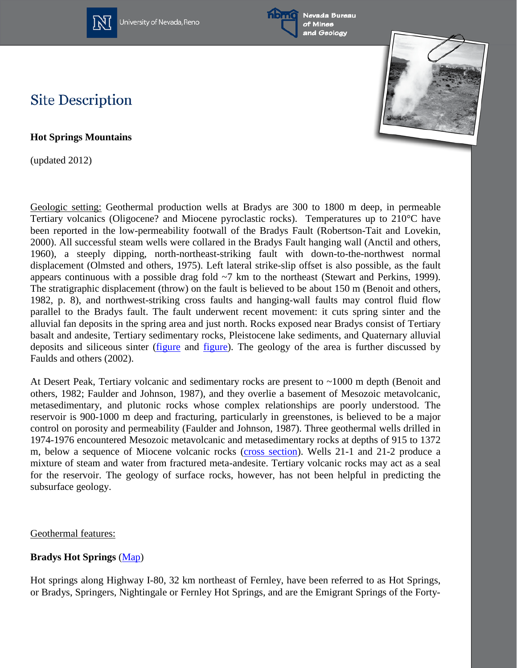





### **Site Description**

**Hot Springs Mountains**

(updated 2012)

Geologic setting: Geothermal production wells at Bradys are 300 to 1800 m deep, in permeable Tertiary volcanics (Oligocene? and Miocene pyroclastic rocks). Temperatures up to 210°C have been reported in the low-permeability footwall of the Bradys Fault (Robertson-Tait and Lovekin, 2000). All successful steam wells were collared in the Bradys Fault hanging wall (Anctil and others, 1960), a steeply dipping, north-northeast-striking fault with down-to-the-northwest normal displacement (Olmsted and others, 1975). Left lateral strike-slip offset is also possible, as the fault appears continuous with a possible drag fold ~7 km to the northeast (Stewart and Perkins, 1999). The stratigraphic displacement (throw) on the fault is believed to be about 150 m (Benoit and others, 1982, p. 8), and northwest-striking cross faults and hanging-wall faults may control fluid flow parallel to the Bradys fault. The fault underwent recent movement: it cuts spring sinter and the alluvial fan deposits in the spring area and just north. Rocks exposed near Bradys consist of Tertiary basalt and andesite, Tertiary sedimentary rocks, Pleistocene lake sediments, and Quaternary alluvial deposits and siliceous sinter [\(figure](http://www.nbmg.unr.edu/geothermal/figures/fig5.pdf) and [figure\)](http://www.nbmg.unr.edu/geothermal/figures/fig6.pdf). The geology of the area is further discussed by Faulds and others (2002).

At Desert Peak, Tertiary volcanic and sedimentary rocks are present to ~1000 m depth (Benoit and others, 1982; Faulder and Johnson, 1987), and they overlie a basement of Mesozoic metavolcanic, metasedimentary, and plutonic rocks whose complex relationships are poorly understood. The reservoir is 900-1000 m deep and fracturing, particularly in greenstones, is believed to be a major control on porosity and permeability (Faulder and Johnson, 1987). Three geothermal wells drilled in 1974-1976 encountered Mesozoic metavolcanic and metasedimentary rocks at depths of 915 to 1372 m, below a sequence of Miocene volcanic rocks [\(cross section\)](http://www.nbmg.unr.edu/geothermal/figures/fig8.pdf). Wells 21-1 and 21-2 produce a mixture of steam and water from fractured meta-andesite. Tertiary volcanic rocks may act as a seal for the reservoir. The geology of surface rocks, however, has not been helpful in predicting the subsurface geology.

#### Geothermal features:

### **Bradys Hot Springs** [\(Map\)](http://www.nbmg.unr.edu/geothermal/detailedmaps/Bradys%20Hot%20Springs.pdf)

Hot springs along Highway I-80, 32 km northeast of Fernley, have been referred to as Hot Springs, or Bradys, Springers, Nightingale or Fernley Hot Springs, and are the Emigrant Springs of the Forty-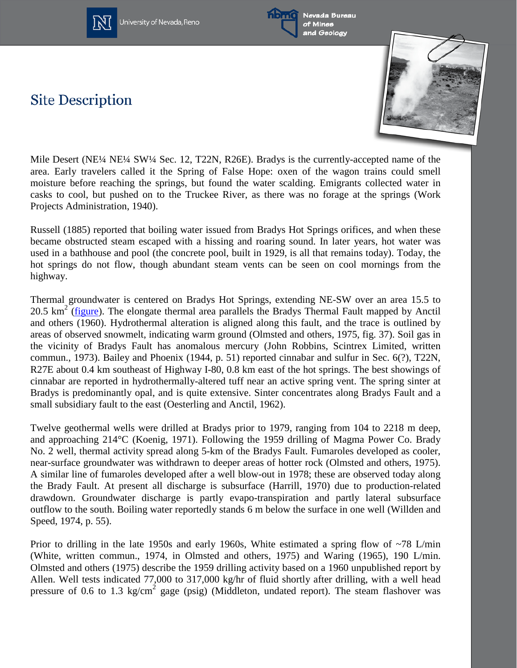



Nevada Bureau of Mines and Geology

# **Site Description**



Mile Desert (NE¼ NE¼ SW¼ Sec. 12, T22N, R26E). Bradys is the currently-accepted name of the area. Early travelers called it the Spring of False Hope: oxen of the wagon trains could smell moisture before reaching the springs, but found the water scalding. Emigrants collected water in casks to cool, but pushed on to the Truckee River, as there was no forage at the springs (Work Projects Administration, 1940).

Russell (1885) reported that boiling water issued from Bradys Hot Springs orifices, and when these became obstructed steam escaped with a hissing and roaring sound. In later years, hot water was used in a bathhouse and pool (the concrete pool, built in 1929, is all that remains today). Today, the hot springs do not flow, though abundant steam vents can be seen on cool mornings from the highway.

Thermal groundwater is centered on Bradys Hot Springs, extending NE-SW over an area 15.5 to 20.5  $km^2$  [\(figure\)](http://www.nbmg.unr.edu/geothermal/figures/fig4.pdf). The elongate thermal area parallels the Bradys Thermal Fault mapped by Anctil and others (1960). Hydrothermal alteration is aligned along this fault, and the trace is outlined by areas of observed snowmelt, indicating warm ground (Olmsted and others, 1975, fig. 37). Soil gas in the vicinity of Bradys Fault has anomalous mercury (John Robbins, Scintrex Limited, written commun., 1973). Bailey and Phoenix (1944, p. 51) reported cinnabar and sulfur in Sec. 6(?), T22N, R27E about 0.4 km southeast of Highway I-80, 0.8 km east of the hot springs. The best showings of cinnabar are reported in hydrothermally-altered tuff near an active spring vent. The spring sinter at Bradys is predominantly opal, and is quite extensive. Sinter concentrates along Bradys Fault and a small subsidiary fault to the east (Oesterling and Anctil, 1962).

Twelve geothermal wells were drilled at Bradys prior to 1979, ranging from 104 to 2218 m deep, and approaching 214°C (Koenig, 1971). Following the 1959 drilling of Magma Power Co. Brady No. 2 well, thermal activity spread along 5-km of the Bradys Fault. Fumaroles developed as cooler, near-surface groundwater was withdrawn to deeper areas of hotter rock (Olmsted and others, 1975). A similar line of fumaroles developed after a well blow-out in 1978; these are observed today along the Brady Fault. At present all discharge is subsurface (Harrill, 1970) due to production-related drawdown. Groundwater discharge is partly evapo-transpiration and partly lateral subsurface outflow to the south. Boiling water reportedly stands 6 m below the surface in one well (Willden and Speed, 1974, p. 55).

Prior to drilling in the late 1950s and early 1960s, White estimated a spring flow of  $\sim$ 78 L/min (White, written commun., 1974, in Olmsted and others, 1975) and Waring (1965), 190 L/min. Olmsted and others (1975) describe the 1959 drilling activity based on a 1960 unpublished report by Allen. Well tests indicated 77,000 to 317,000 kg/hr of fluid shortly after drilling, with a well head pressure of 0.6 to 1.3 kg/cm<sup>2</sup> gage (psig) (Middleton, undated report). The steam flashover was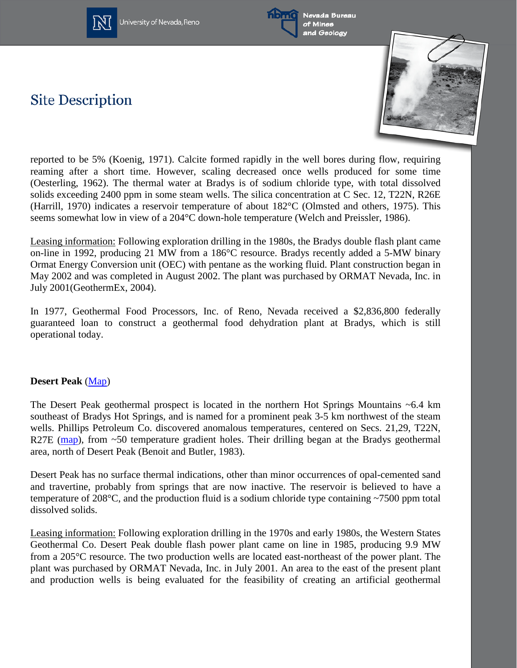



Nevada Bureau of Mines and Geology

# **Site Description**



reported to be 5% (Koenig, 1971). Calcite formed rapidly in the well bores during flow, requiring reaming after a short time. However, scaling decreased once wells produced for some time (Oesterling, 1962). The thermal water at Bradys is of sodium chloride type, with total dissolved solids exceeding 2400 ppm in some steam wells. The silica concentration at C Sec. 12, T22N, R26E (Harrill, 1970) indicates a reservoir temperature of about 182°C (Olmsted and others, 1975). This seems somewhat low in view of a 204°C down-hole temperature (Welch and Preissler, 1986).

Leasing information: Following exploration drilling in the 1980s, the Bradys double flash plant came on-line in 1992, producing 21 MW from a 186°C resource. Bradys recently added a 5-MW binary Ormat Energy Conversion unit (OEC) with pentane as the working fluid. Plant construction began in May 2002 and was completed in August 2002. The plant was purchased by ORMAT Nevada, Inc. in July 2001(GeothermEx, 2004).

In 1977, Geothermal Food Processors, Inc. of Reno, Nevada received a \$2,836,800 federally guaranteed loan to construct a geothermal food dehydration plant at Bradys, which is still operational today.

#### **Desert Peak** [\(Map\)](http://www.nbmg.unr.edu/geothermal/detailedmaps/Desert%20Peak.pdf)

The Desert Peak geothermal prospect is located in the northern Hot Springs Mountains  $\sim 6.4$  km southeast of Bradys Hot Springs, and is named for a prominent peak 3-5 km northwest of the steam wells. Phillips Petroleum Co. discovered anomalous temperatures, centered on Secs. 21,29, T22N, R27E [\(map\)](http://www.nbmg.unr.edu/geothermal/figures/fig7.pdf), from  $\sim$ 50 temperature gradient holes. Their drilling began at the Bradys geothermal area, north of Desert Peak (Benoit and Butler, 1983).

Desert Peak has no surface thermal indications, other than minor occurrences of opal-cemented sand and travertine, probably from springs that are now inactive. The reservoir is believed to have a temperature of 208°C, and the production fluid is a sodium chloride type containing ~7500 ppm total dissolved solids.

Leasing information: Following exploration drilling in the 1970s and early 1980s, the Western States Geothermal Co. Desert Peak double flash power plant came on line in 1985, producing 9.9 MW from a 205°C resource. The two production wells are located east-northeast of the power plant. The plant was purchased by ORMAT Nevada, Inc. in July 2001. An area to the east of the present plant and production wells is being evaluated for the feasibility of creating an artificial geothermal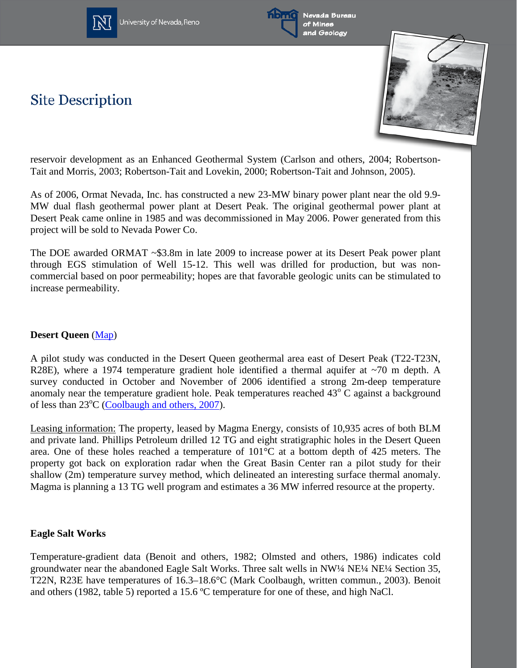



Nevada Bureau of Mines and Geology

# **Site Description**



reservoir development as an Enhanced Geothermal System (Carlson and others, 2004; Robertson-Tait and Morris, 2003; Robertson-Tait and Lovekin, 2000; Robertson-Tait and Johnson, 2005).

As of 2006, Ormat Nevada, Inc. has constructed a new 23-MW binary power plant near the old 9.9- MW dual flash geothermal power plant at Desert Peak. The original geothermal power plant at Desert Peak came online in 1985 and was decommissioned in May 2006. Power generated from this project will be sold to Nevada Power Co.

The DOE awarded ORMAT ~\$3.8m in late 2009 to increase power at its Desert Peak power plant through EGS stimulation of Well 15-12. This well was drilled for production, but was noncommercial based on poor permeability; hopes are that favorable geologic units can be stimulated to increase permeability.

### **Desert Queen** [\(Map\)](http://www.unr.edu/geothermal/images/dqueen.jpg)

A pilot study was conducted in the Desert Queen geothermal area east of Desert Peak (T22-T23N, R28E), where a 1974 temperature gradient hole identified a thermal aquifer at ~70 m depth. A survey conducted in October and November of 2006 identified a strong 2m-deep temperature anomaly near the temperature gradient hole. Peak temperatures reached  $43^{\circ}$  C against a background of less than 23<sup>o</sup>C [\(Coolbaugh and others, 2007\)](http://www.unr.edu/geothermal/pdffiles/Shallow_Temps_Stanford_2007.pdf).

Leasing information: The property, leased by Magma Energy, consists of 10,935 acres of both BLM and private land. Phillips Petroleum drilled 12 TG and eight stratigraphic holes in the Desert Queen area. One of these holes reached a temperature of 101°C at a bottom depth of 425 meters. The property got back on exploration radar when the Great Basin Center ran a pilot study for their shallow (2m) temperature survey method, which delineated an interesting surface thermal anomaly. Magma is planning a 13 TG well program and estimates a 36 MW inferred resource at the property.

#### **Eagle Salt Works**

Temperature-gradient data (Benoit and others, 1982; Olmsted and others, 1986) indicates cold groundwater near the abandoned Eagle Salt Works. Three salt wells in NW¼ NE¼ NE¼ Section 35, T22N, R23E have temperatures of 16.3–18.6°C (Mark Coolbaugh, written commun., 2003). Benoit and others (1982, table 5) reported a 15.6 ºC temperature for one of these, and high NaCl.